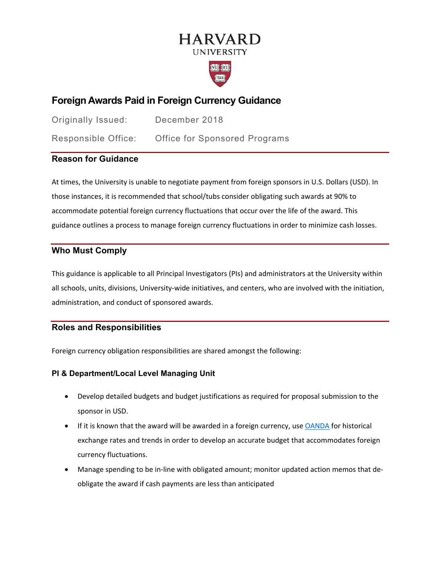# **HARVARD UNIVERSITY**



## **Foreign Awards Paid in Foreign Currency Guidance**

Originally Issued: December 2018 Responsible Office: Office for Sponsored Programs

## **Reason for Guidance**

At times, the University is unable to negotiate payment from foreign sponsors in U.S. Dollars (USD). In those instances, it is recommended that school/tubs consider obligating such awards at 90% to accommodate potential foreign currency fluctuations that occur over the life of the award. This guidance outlines a process to manage foreign currency fluctuations in order to minimize cash losses.

## **Who Must Comply**

This guidance is applicable to all Principal Investigators (PIs) and administrators at the University within all schools, units, divisions, University-wide initiatives, and centers, who are involved with the initiation, administration, and conduct of sponsored awards.

## **Roles and Responsibilities**

Foreign currency obligation responsibilities are shared amongst the following:

#### **PI & Department/Local Level Managing Unit**

- Develop detailed budgets and budget justifications as required for proposal submission to the sponsor in USD.
- If it is known that the award will be awarded in a foreign currency, use [OANDA](https://www.oanda.com/) for historical exchange rates and trends in order to develop an accurate budget that accommodates foreign currency fluctuations.
- Manage spending to be in-line with obligated amount; monitor updated action memos that deobligate the award if cash payments are less than anticipated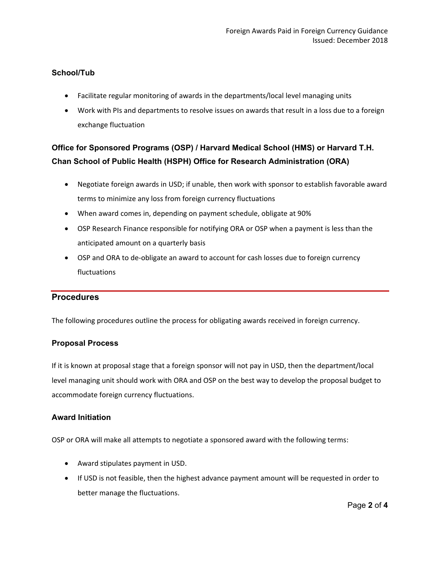### **School/Tub**

- Facilitate regular monitoring of awards in the departments/local level managing units
- Work with PIs and departments to resolve issues on awards that result in a loss due to a foreign exchange fluctuation

## **Office for Sponsored Programs (OSP) / Harvard Medical School (HMS) or Harvard T.H. Chan School of Public Health (HSPH) Office for Research Administration (ORA)**

- Negotiate foreign awards in USD; if unable, then work with sponsor to establish favorable award terms to minimize any loss from foreign currency fluctuations
- When award comes in, depending on payment schedule, obligate at 90%
- OSP Research Finance responsible for notifying ORA or OSP when a payment is less than the anticipated amount on a quarterly basis
- OSP and ORA to de-obligate an award to account for cash losses due to foreign currency fluctuations

#### **Procedures**

The following procedures outline the process for obligating awards received in foreign currency.

#### **Proposal Process**

If it is known at proposal stage that a foreign sponsor will not pay in USD, then the department/local level managing unit should work with ORA and OSP on the best way to develop the proposal budget to accommodate foreign currency fluctuations.

#### **Award Initiation**

OSP or ORA will make all attempts to negotiate a sponsored award with the following terms:

- Award stipulates payment in USD.
- If USD is not feasible, then the highest advance payment amount will be requested in order to better manage the fluctuations.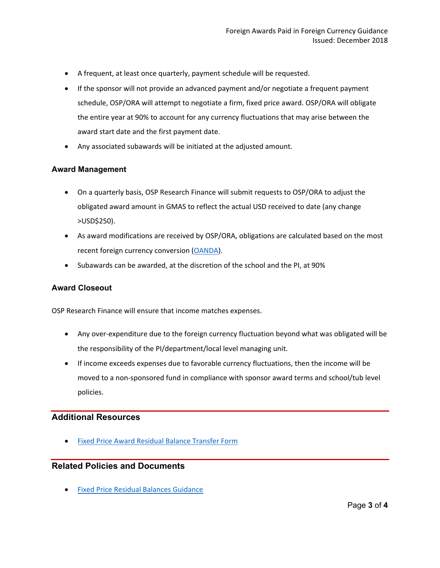- A frequent, at least once quarterly, payment schedule will be requested.
- If the sponsor will not provide an advanced payment and/or negotiate a frequent payment schedule, OSP/ORA will attempt to negotiate a firm, fixed price award. OSP/ORA will obligate the entire year at 90% to account for any currency fluctuations that may arise between the award start date and the first payment date.
- Any associated subawards will be initiated at the adjusted amount.

#### **Award Management**

- On a quarterly basis, OSP Research Finance will submit requests to OSP/ORA to adjust the obligated award amount in GMAS to reflect the actual USD received to date (any change >USD\$250).
- As award modifications are received by OSP/ORA, obligations are calculated based on the most recent foreign currency conversion [\(OANDA\)](https://www.oanda.com/).
- Subawards can be awarded, at the discretion of the school and the PI, at 90%

#### **Award Closeout**

OSP Research Finance will ensure that income matches expenses.

- Any over-expenditure due to the foreign currency fluctuation beyond what was obligated will be the responsibility of the PI/department/local level managing unit.
- If income exceeds expenses due to favorable currency fluctuations, then the income will be moved to a non-sponsored fund in compliance with sponsor award terms and school/tub level policies.

#### **Additional Resources**

**[Fixed Price Award Residual Balance Transfer Form](https://osp.finance.harvard.edu/files/fixed_price_award_residual_balance_transfer_form_july_2021.pdf)** 

## **Related Policies and Documents**

• [Fixed Price Residual Balances Guidance](https://osp.finance.harvard.edu/guidance-fixed-price-sponsored-awards)